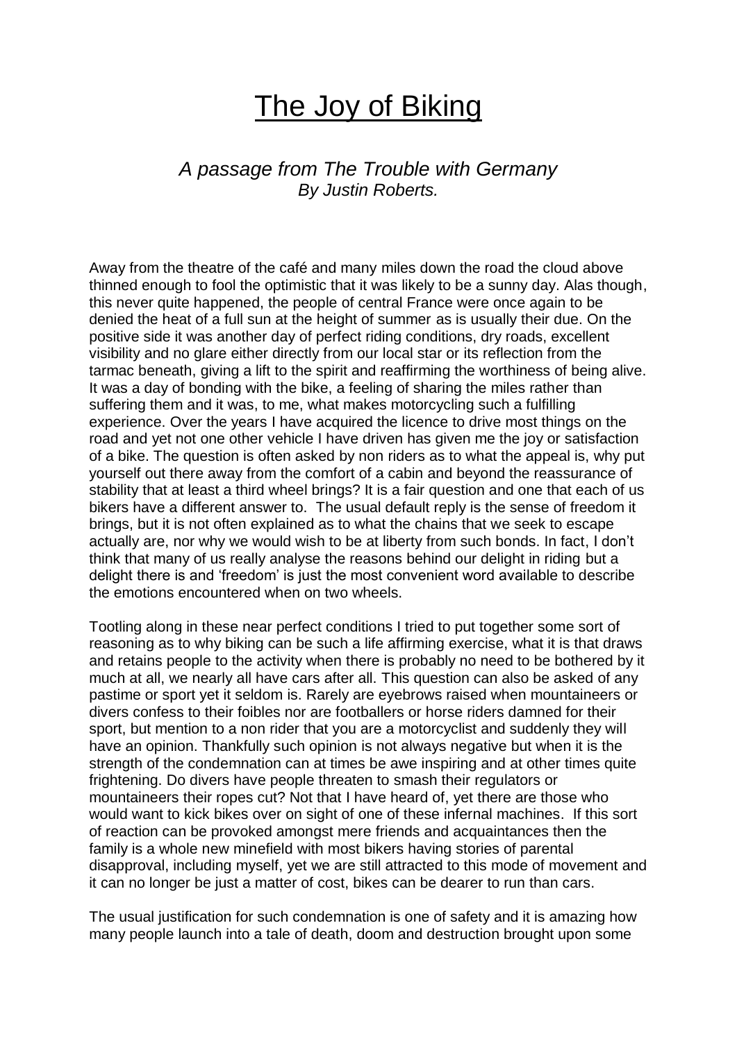## The Joy of Biking

## *A passage from The Trouble with Germany By Justin Roberts.*

Away from the theatre of the café and many miles down the road the cloud above thinned enough to fool the optimistic that it was likely to be a sunny day. Alas though, this never quite happened, the people of central France were once again to be denied the heat of a full sun at the height of summer as is usually their due. On the positive side it was another day of perfect riding conditions, dry roads, excellent visibility and no glare either directly from our local star or its reflection from the tarmac beneath, giving a lift to the spirit and reaffirming the worthiness of being alive. It was a day of bonding with the bike, a feeling of sharing the miles rather than suffering them and it was, to me, what makes motorcycling such a fulfilling experience. Over the years I have acquired the licence to drive most things on the road and yet not one other vehicle I have driven has given me the joy or satisfaction of a bike. The question is often asked by non riders as to what the appeal is, why put yourself out there away from the comfort of a cabin and beyond the reassurance of stability that at least a third wheel brings? It is a fair question and one that each of us bikers have a different answer to. The usual default reply is the sense of freedom it brings, but it is not often explained as to what the chains that we seek to escape actually are, nor why we would wish to be at liberty from such bonds. In fact, I don't think that many of us really analyse the reasons behind our delight in riding but a delight there is and 'freedom' is just the most convenient word available to describe the emotions encountered when on two wheels.

Tootling along in these near perfect conditions I tried to put together some sort of reasoning as to why biking can be such a life affirming exercise, what it is that draws and retains people to the activity when there is probably no need to be bothered by it much at all, we nearly all have cars after all. This question can also be asked of any pastime or sport yet it seldom is. Rarely are eyebrows raised when mountaineers or divers confess to their foibles nor are footballers or horse riders damned for their sport, but mention to a non rider that you are a motorcyclist and suddenly they will have an opinion. Thankfully such opinion is not always negative but when it is the strength of the condemnation can at times be awe inspiring and at other times quite frightening. Do divers have people threaten to smash their regulators or mountaineers their ropes cut? Not that I have heard of, yet there are those who would want to kick bikes over on sight of one of these infernal machines. If this sort of reaction can be provoked amongst mere friends and acquaintances then the family is a whole new minefield with most bikers having stories of parental disapproval, including myself, yet we are still attracted to this mode of movement and it can no longer be just a matter of cost, bikes can be dearer to run than cars.

The usual justification for such condemnation is one of safety and it is amazing how many people launch into a tale of death, doom and destruction brought upon some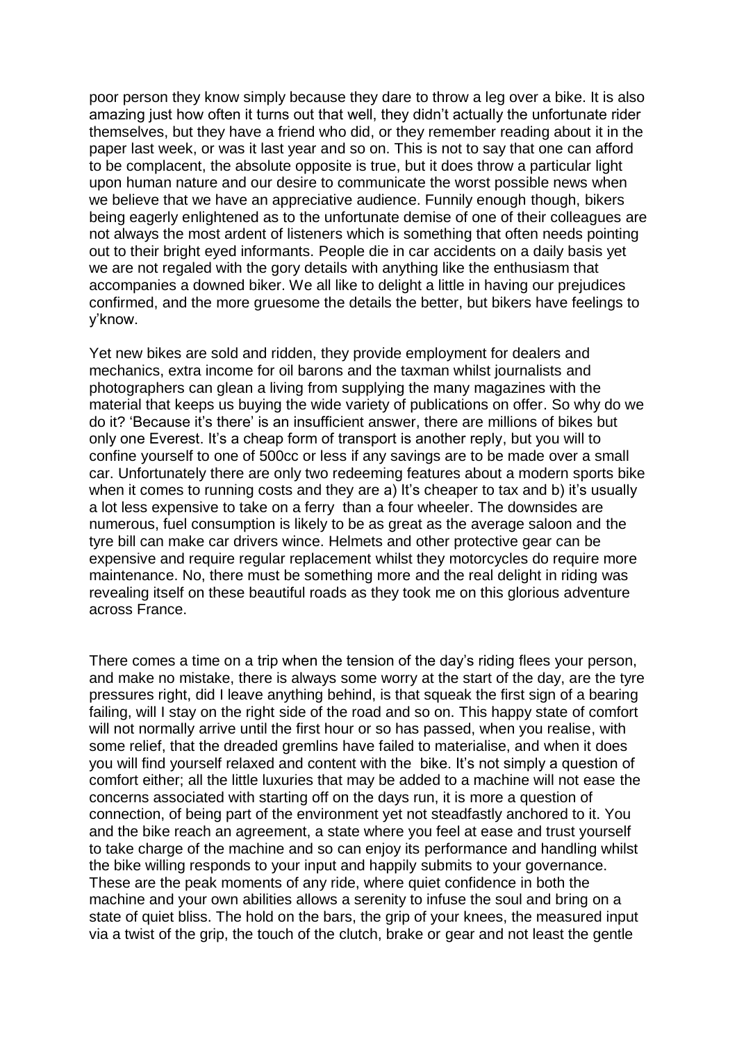poor person they know simply because they dare to throw a leg over a bike. It is also amazing just how often it turns out that well, they didn't actually the unfortunate rider themselves, but they have a friend who did, or they remember reading about it in the paper last week, or was it last year and so on. This is not to say that one can afford to be complacent, the absolute opposite is true, but it does throw a particular light upon human nature and our desire to communicate the worst possible news when we believe that we have an appreciative audience. Funnily enough though, bikers being eagerly enlightened as to the unfortunate demise of one of their colleagues are not always the most ardent of listeners which is something that often needs pointing out to their bright eyed informants. People die in car accidents on a daily basis yet we are not regaled with the gory details with anything like the enthusiasm that accompanies a downed biker. We all like to delight a little in having our prejudices confirmed, and the more gruesome the details the better, but bikers have feelings to y'know.

Yet new bikes are sold and ridden, they provide employment for dealers and mechanics, extra income for oil barons and the taxman whilst journalists and photographers can glean a living from supplying the many magazines with the material that keeps us buying the wide variety of publications on offer. So why do we do it? 'Because it's there' is an insufficient answer, there are millions of bikes but only one Everest. It's a cheap form of transport is another reply, but you will to confine yourself to one of 500cc or less if any savings are to be made over a small car. Unfortunately there are only two redeeming features about a modern sports bike when it comes to running costs and they are a) It's cheaper to tax and b) it's usually a lot less expensive to take on a ferry than a four wheeler. The downsides are numerous, fuel consumption is likely to be as great as the average saloon and the tyre bill can make car drivers wince. Helmets and other protective gear can be expensive and require regular replacement whilst they motorcycles do require more maintenance. No, there must be something more and the real delight in riding was revealing itself on these beautiful roads as they took me on this glorious adventure across France.

There comes a time on a trip when the tension of the day's riding flees your person, and make no mistake, there is always some worry at the start of the day, are the tyre pressures right, did I leave anything behind, is that squeak the first sign of a bearing failing, will I stay on the right side of the road and so on. This happy state of comfort will not normally arrive until the first hour or so has passed, when you realise, with some relief, that the dreaded gremlins have failed to materialise, and when it does you will find yourself relaxed and content with the bike. It's not simply a question of comfort either; all the little luxuries that may be added to a machine will not ease the concerns associated with starting off on the days run, it is more a question of connection, of being part of the environment yet not steadfastly anchored to it. You and the bike reach an agreement, a state where you feel at ease and trust yourself to take charge of the machine and so can enjoy its performance and handling whilst the bike willing responds to your input and happily submits to your governance. These are the peak moments of any ride, where quiet confidence in both the machine and your own abilities allows a serenity to infuse the soul and bring on a state of quiet bliss. The hold on the bars, the grip of your knees, the measured input via a twist of the grip, the touch of the clutch, brake or gear and not least the gentle